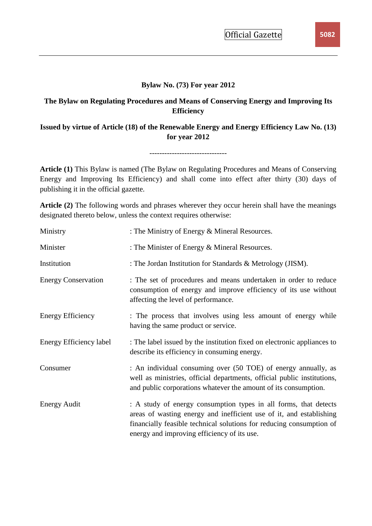## **Bylaw No. (73) For year 2012**

# **The Bylaw on Regulating Procedures and Means of Conserving Energy and Improving Its Efficiency**

# **Issued by virtue of Article (18) of the Renewable Energy and Energy Efficiency Law No. (13) for year 2012**

-------------------------------

**Article (1)** This Bylaw is named (The Bylaw on Regulating Procedures and Means of Conserving Energy and Improving Its Efficiency) and shall come into effect after thirty (30) days of publishing it in the official gazette.

**Article (2)** The following words and phrases wherever they occur herein shall have the meanings designated thereto below, unless the context requires otherwise:

| Ministry                   | : The Ministry of Energy & Mineral Resources.                                                                                                                                                                                                                  |  |
|----------------------------|----------------------------------------------------------------------------------------------------------------------------------------------------------------------------------------------------------------------------------------------------------------|--|
| Minister                   | : The Minister of Energy & Mineral Resources.                                                                                                                                                                                                                  |  |
| Institution                | : The Jordan Institution for Standards & Metrology (JISM).                                                                                                                                                                                                     |  |
| <b>Energy Conservation</b> | : The set of procedures and means undertaken in order to reduce<br>consumption of energy and improve efficiency of its use without<br>affecting the level of performance.                                                                                      |  |
| <b>Energy Efficiency</b>   | : The process that involves using less amount of energy while<br>having the same product or service.                                                                                                                                                           |  |
| Energy Efficiency label    | : The label issued by the institution fixed on electronic appliances to<br>describe its efficiency in consuming energy.                                                                                                                                        |  |
| Consumer                   | : An individual consuming over (50 TOE) of energy annually, as<br>well as ministries, official departments, official public institutions,<br>and public corporations whatever the amount of its consumption.                                                   |  |
| <b>Energy Audit</b>        | : A study of energy consumption types in all forms, that detects<br>areas of wasting energy and inefficient use of it, and establishing<br>financially feasible technical solutions for reducing consumption of<br>energy and improving efficiency of its use. |  |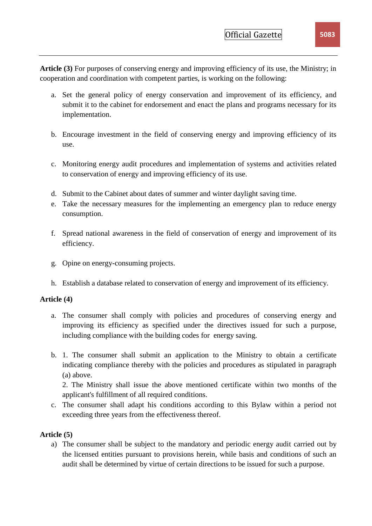**Article (3)** For purposes of conserving energy and improving efficiency of its use, the Ministry; in cooperation and coordination with competent parties, is working on the following:

- a. Set the general policy of energy conservation and improvement of its efficiency, and submit it to the cabinet for endorsement and enact the plans and programs necessary for its implementation.
- b. Encourage investment in the field of conserving energy and improving efficiency of its use.
- c. Monitoring energy audit procedures and implementation of systems and activities related to conservation of energy and improving efficiency of its use.
- d. Submit to the Cabinet about dates of summer and winter daylight saving time.
- e. Take the necessary measures for the implementing an emergency plan to reduce energy consumption.
- f. Spread national awareness in the field of conservation of energy and improvement of its efficiency.
- g. Opine on energy-consuming projects.
- h. Establish a database related to conservation of energy and improvement of its efficiency.

## **Article (4)**

- a. The consumer shall comply with policies and procedures of conserving energy and improving its efficiency as specified under the directives issued for such a purpose, including compliance with the building codes for energy saving.
- b. 1. The consumer shall submit an application to the Ministry to obtain a certificate indicating compliance thereby with the policies and procedures as stipulated in paragraph (a) above.

2. The Ministry shall issue the above mentioned certificate within two months of the applicant's fulfillment of all required conditions.

c. The consumer shall adapt his conditions according to this Bylaw within a period not exceeding three years from the effectiveness thereof.

# **Article (5)**

a) The consumer shall be subject to the mandatory and periodic energy audit carried out by the licensed entities pursuant to provisions herein, while basis and conditions of such an audit shall be determined by virtue of certain directions to be issued for such a purpose.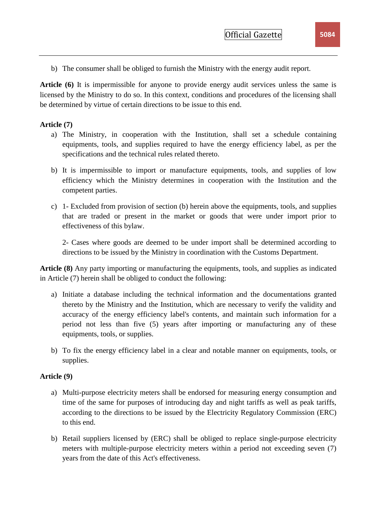b) The consumer shall be obliged to furnish the Ministry with the energy audit report.

**Article (6)** It is impermissible for anyone to provide energy audit services unless the same is licensed by the Ministry to do so. In this context, conditions and procedures of the licensing shall be determined by virtue of certain directions to be issue to this end.

## **Article (7)**

- a) The Ministry, in cooperation with the Institution, shall set a schedule containing equipments, tools, and supplies required to have the energy efficiency label, as per the specifications and the technical rules related thereto.
- b) It is impermissible to import or manufacture equipments, tools, and supplies of low efficiency which the Ministry determines in cooperation with the Institution and the competent parties.
- c) 1- Excluded from provision of section (b) herein above the equipments, tools, and supplies that are traded or present in the market or goods that were under import prior to effectiveness of this bylaw.

2- Cases where goods are deemed to be under import shall be determined according to directions to be issued by the Ministry in coordination with the Customs Department.

**Article (8)** Any party importing or manufacturing the equipments, tools, and supplies as indicated in Article (7) herein shall be obliged to conduct the following:

- a) Initiate a database including the technical information and the documentations granted thereto by the Ministry and the Institution, which are necessary to verify the validity and accuracy of the energy efficiency label's contents, and maintain such information for a period not less than five (5) years after importing or manufacturing any of these equipments, tools, or supplies.
- b) To fix the energy efficiency label in a clear and notable manner on equipments, tools, or supplies.

## **Article (9)**

- a) Multi-purpose electricity meters shall be endorsed for measuring energy consumption and time of the same for purposes of introducing day and night tariffs as well as peak tariffs, according to the directions to be issued by the Electricity Regulatory Commission (ERC) to this end.
- b) Retail suppliers licensed by (ERC) shall be obliged to replace single-purpose electricity meters with multiple-purpose electricity meters within a period not exceeding seven (7) years from the date of this Act's effectiveness.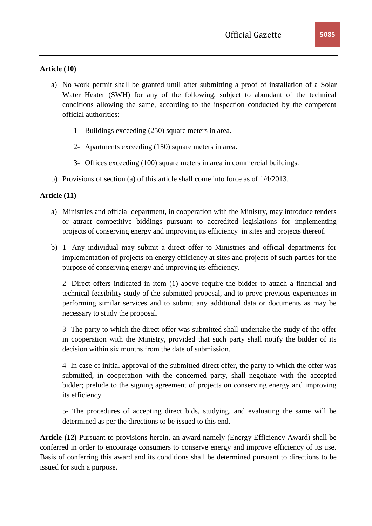#### **Article (10)**

- a) No work permit shall be granted until after submitting a proof of installation of a Solar Water Heater (SWH) for any of the following, subject to abundant of the technical conditions allowing the same, according to the inspection conducted by the competent official authorities:
	- 1- Buildings exceeding (250) square meters in area.
	- 2- Apartments exceeding (150) square meters in area.
	- 3- Offices exceeding (100) square meters in area in commercial buildings.
- b) Provisions of section (a) of this article shall come into force as of 1/4/2013.

#### **Article (11)**

- a) Ministries and official department, in cooperation with the Ministry, may introduce tenders or attract competitive biddings pursuant to accredited legislations for implementing projects of conserving energy and improving its efficiency in sites and projects thereof.
- b) 1- Any individual may submit a direct offer to Ministries and official departments for implementation of projects on energy efficiency at sites and projects of such parties for the purpose of conserving energy and improving its efficiency.

2- Direct offers indicated in item (1) above require the bidder to attach a financial and technical feasibility study of the submitted proposal, and to prove previous experiences in performing similar services and to submit any additional data or documents as may be necessary to study the proposal.

3- The party to which the direct offer was submitted shall undertake the study of the offer in cooperation with the Ministry, provided that such party shall notify the bidder of its decision within six months from the date of submission.

4- In case of initial approval of the submitted direct offer, the party to which the offer was submitted, in cooperation with the concerned party, shall negotiate with the accepted bidder; prelude to the signing agreement of projects on conserving energy and improving its efficiency.

5- The procedures of accepting direct bids, studying, and evaluating the same will be determined as per the directions to be issued to this end.

**Article (12)** Pursuant to provisions herein, an award namely (Energy Efficiency Award) shall be conferred in order to encourage consumers to conserve energy and improve efficiency of its use. Basis of conferring this award and its conditions shall be determined pursuant to directions to be issued for such a purpose.